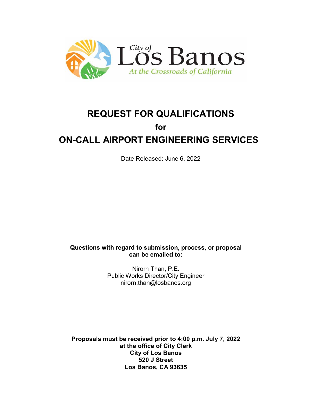

# **REQUEST FOR QUALIFICATIONS for ON-CALL AIRPORT ENGINEERING SERVICES**

Date Released: June 6, 2022

**Questions with regard to submission, process, or proposal can be emailed to:**

> Nirorn Than, P.E. Public Works Director/City Engineer nirorn.than@losbanos.org

**Proposals must be received prior to 4:00 p.m. July 7, 2022 at the office of City Clerk City of Los Banos 520 J Street Los Banos, CA 93635**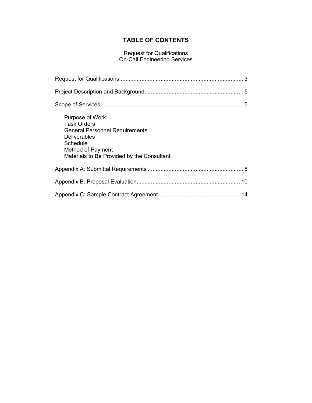# **TABLE OF CONTENTS**

#### Request for Qualifications On-Call Engineering Services

| Purpose of Work<br><b>Task Orders</b><br><b>General Personnel Requirements</b><br><b>Deliverables</b><br>Schedule<br>Method of Payment<br>Materials to Be Provided by the Consultant |  |
|--------------------------------------------------------------------------------------------------------------------------------------------------------------------------------------|--|
|                                                                                                                                                                                      |  |
|                                                                                                                                                                                      |  |
|                                                                                                                                                                                      |  |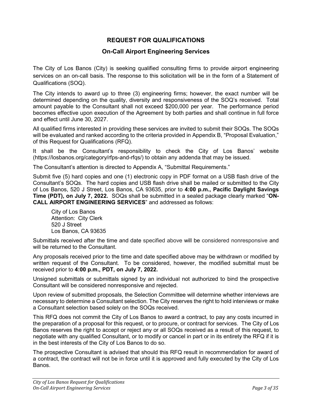# **REQUEST FOR QUALIFICATIONS**

## **On-Call Airport Engineering Services**

The City of Los Banos (City) is seeking qualified consulting firms to provide airport engineering services on an on-call basis. The response to this solicitation will be in the form of a Statement of Qualifications (SOQ).

The City intends to award up to three (3) engineering firms; however, the exact number will be determined depending on the quality, diversity and responsiveness of the SOQ's received. Total amount payable to the Consultant shall not exceed \$200,000 per year. The performance period becomes effective upon execution of the Agreement by both parties and shall continue in full force and effect until June 30, 2027.

All qualified firms interested in providing these services are invited to submit their SOQs. The SOQs will be evaluated and ranked according to the criteria provided in Appendix B, "Proposal Evaluation," of this Request for Qualifications (RFQ).

It shall be the Consultant's responsibility to check the City of Los Banos' website (https://losbanos.org/category/rfps-and-rfqs/) to obtain any addenda that may be issued.

The Consultant's attention is directed to Appendix A, "Submittal Requirements."

Submit five (5) hard copies and one (1) electronic copy in PDF format on a USB flash drive of the Consultant's SOQs. The hard copies and USB flash drive shall be mailed or submitted to the City of Los Banos, 520 J Street, Los Banos, CA 93635, prior to **4:00 p.m., Pacific Daylight Savings Time (PDT), on July 7, 2022.** SOQs shall be submitted in a sealed package clearly marked "**ON-CALL AIRPORT ENGINEERING SERVICES**" and addressed as follows:

City of Los Banos Attention: City Clerk 520 J Street Los Banos, CA 93635

Submittals received after the time and date specified above will be considered nonresponsive and will be returned to the Consultant.

Any proposals received prior to the time and date specified above may be withdrawn or modified by written request of the Consultant. To be considered, however, the modified submittal must be received prior to **4:00 p.m., PDT, on July 7, 2022.**

Unsigned submittals or submittals signed by an individual not authorized to bind the prospective Consultant will be considered nonresponsive and rejected.

Upon review of submitted proposals, the Selection Committee will determine whether interviews are necessary to determine a Consultant selection. The City reserves the right to hold interviews or make a Consultant selection based solely on the SOQs received.

This RFQ does not commit the City of Los Banos to award a contract, to pay any costs incurred in the preparation of a proposal for this request, or to procure, or contract for services. The City of Los Banos reserves the right to accept or reject any or all SOQs received as a result of this request, to negotiate with any qualified Consultant, or to modify or cancel in part or in its entirety the RFQ if it is in the best interests of the City of Los Banos to do so.

The prospective Consultant is advised that should this RFQ result in recommendation for award of a contract, the contract will not be in force until it is approved and fully executed by the City of Los Banos.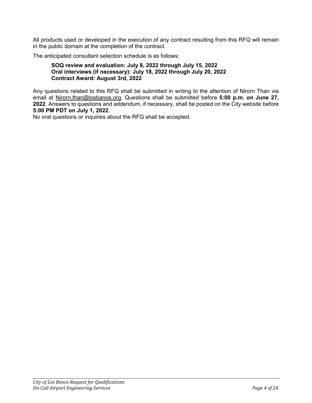All products used or developed in the execution of any contract resulting from this RFQ will remain in the public domain at the completion of the contract.

The anticipated consultant selection schedule is as follows:

#### **SOQ review and evaluation: July 8, 2022 through July 15, 2022 Oral interviews (if necessary): July 18, 2022 through July 20, 2022 Contract Award: August 3rd, 2022**

Any questions related to this RFQ shall be submitted in writing to the attention of Nirorn Than via email at Nirorn.than@losbanos.org. Questions shall be submitted before **5:00 p.m. on June 27, 2022**. Answers to questions and addendum, if necessary, shall be posted on the City website before **5:00 PM PDT on July 1, 2022**.

No oral questions or inquiries about the RFQ shall be accepted.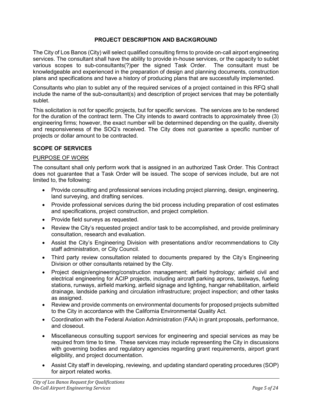## **PROJECT DESCRIPTION AND BACKGROUND**

The City of Los Banos (City) will select qualified consulting firms to provide on-call airport engineering services. The consultant shall have the ability to provide in-house services, or the capacity to sublet various scopes to sub-consultants(?)per the signed Task Order. The consultant must be knowledgeable and experienced in the preparation of design and planning documents, construction plans and specifications and have a history of producing plans that are successfully implemented.

Consultants who plan to sublet any of the required services of a project contained in this RFQ shall include the name of the sub-consultant(s) and description of project services that may be potentially sublet.

This solicitation is not for specific projects, but for specific services. The services are to be rendered for the duration of the contract term. The City intends to award contracts to approximately three (3) engineering firms; however, the exact number will be determined depending on the quality, diversity and responsiveness of the SOQ's received. The City does not guarantee a specific number of projects or dollar amount to be contracted.

## **SCOPE OF SERVICES**

#### PURPOSE OF WORK

The consultant shall only perform work that is assigned in an authorized Task Order. This Contract does not guarantee that a Task Order will be issued. The scope of services include, but are not limited to, the following:

- Provide consulting and professional services including project planning, design, engineering, land surveying, and drafting services.
- Provide professional services during the bid process including preparation of cost estimates and specifications, project construction, and project completion.
- Provide field surveys as requested.
- Review the City's requested project and/or task to be accomplished, and provide preliminary consultation, research and evaluation.
- Assist the City's Engineering Division with presentations and/or recommendations to City staff administration, or City Council.
- Third party review consultation related to documents prepared by the City's Engineering Division or other consultants retained by the City.
- Project design/engineering/construction management; airfield hydrology; airfield civil and electrical engineering for ACIP projects, including aircraft parking aprons, taxiways, fueling stations, runways, airfield marking, airfield signage and lighting, hangar rehabilitation, airfield drainage, landside parking and circulation infrastructure; project inspection; and other tasks as assigned.
- Review and provide comments on environmental documents for proposed projects submitted to the City in accordance with the California Environmental Quality Act.
- Coordination with the Federal Aviation Administration (FAA) in grant proposals, performance, and closeout.
- Miscellaneous consulting support services for engineering and special services as may be required from time to time. These services may include representing the City in discussions with governing bodies and regulatory agencies regarding grant requirements, airport grant eligibility, and project documentation.
- Assist City staff in developing, reviewing, and updating standard operating procedures (SOP) for airport related works.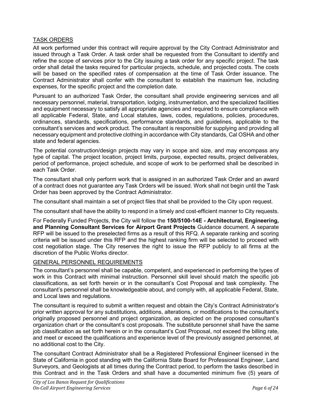## TASK ORDERS

All work performed under this contract will require approval by the City Contract Administrator and issued through a Task Order. A task order shall be requested from the Consultant to identify and refine the scope of services prior to the City issuing a task order for any specific project. The task order shall detail the tasks required for particular projects, schedule, and projected costs. The costs will be based on the specified rates of compensation at the time of Task Order issuance. The Contract Administrator shall confer with the consultant to establish the maximum fee, including expenses, for the specific project and the completion date.

Pursuant to an authorized Task Order, the consultant shall provide engineering services and all necessary personnel, material, transportation, lodging, instrumentation, and the specialized facilities and equipment necessary to satisfy all appropriate agencies and required to ensure compliance with all applicable Federal, State, and Local statutes, laws, codes, regulations, policies, procedures, ordinances, standards, specifications, performance standards, and guidelines, applicable to the consultant's services and work product. The consultant is responsible for supplying and providing all necessary equipment and protective clothing in accordance with City standards, Cal OSHA and other state and federal agencies.

The potential construction/design projects may vary in scope and size, and may encompass any type of capital. The project location, project limits, purpose, expected results, project deliverables, period of performance, project schedule, and scope of work to be performed shall be described in each Task Order.

The consultant shall only perform work that is assigned in an authorized Task Order and an award of a contract does not guarantee any Task Orders will be issued. Work shall not begin until the Task Order has been approved by the Contract Administrator.

The consultant shall maintain a set of project files that shall be provided to the City upon request.

The consultant shall have the ability to respond in a timely and cost-efficient manner to City requests.

For Federally Funded Projects, the City will follow the **150/5100-14E - Architectural, Engineering, and Planning Consultant Services for Airport Grant Projects** Guidance document. A separate RFP will be issued to the preselected firms as a result of this RFQ. A separate ranking and scoring criteria will be issued under this RFP and the highest ranking firm will be selected to proceed with cost negotiation stage. The City reserves the right to issue the RFP publicly to all firms at the discretion of the Public Works director.

## GENERAL PERSONNEL REQUIREMENTS

The consultant's personnel shall be capable, competent, and experienced in performing the types of work in this Contract with minimal instruction. Personnel skill level should match the specific job classifications, as set forth herein or in the consultant's Cost Proposal and task complexity. The consultant's personnel shall be knowledgeable about, and comply with, all applicable Federal, State, and Local laws and regulations.

The consultant is required to submit a written request and obtain the City's Contract Administrator's prior written approval for any substitutions, additions, alterations, or modifications to the consultant's originally proposed personnel and project organization, as depicted on the proposed consultant's organization chart or the consultant's cost proposals. The substitute personnel shall have the same job classification as set forth herein or in the consultant's Cost Proposal, not exceed the billing rate, and meet or exceed the qualifications and experience level of the previously assigned personnel, at no additional cost to the City.

The consultant Contract Administrator shall be a Registered Professional Engineer licensed in the State of California in good standing with the California State Board for Professional Engineer, Land Surveyors, and Geologists at all times during the Contract period, to perform the tasks described in this Contract and in the Task Orders and shall have a documented minimum five (5) years of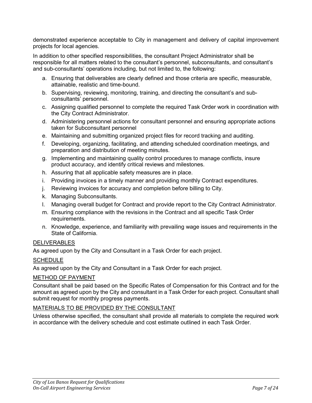demonstrated experience acceptable to City in management and delivery of capital improvement projects for local agencies.

In addition to other specified responsibilities, the consultant Project Administrator shall be responsible for all matters related to the consultant's personnel, subconsultants, and consultant's and sub-consultants' operations including, but not limited to, the following:

- a. Ensuring that deliverables are clearly defined and those criteria are specific, measurable, attainable, realistic and time-bound.
- b. Supervising, reviewing, monitoring, training, and directing the consultant's and subconsultants' personnel.
- c. Assigning qualified personnel to complete the required Task Order work in coordination with the City Contract Administrator.
- d. Administering personnel actions for consultant personnel and ensuring appropriate actions taken for Subconsultant personnel
- e. Maintaining and submitting organized project files for record tracking and auditing.
- f. Developing, organizing, facilitating, and attending scheduled coordination meetings, and preparation and distribution of meeting minutes.
- g. Implementing and maintaining quality control procedures to manage conflicts, insure product accuracy, and identify critical reviews and milestones.
- h. Assuring that all applicable safety measures are in place.
- i. Providing invoices in a timely manner and providing monthly Contract expenditures.
- j. Reviewing invoices for accuracy and completion before billing to City.
- k. Managing Subconsultants.
- l. Managing overall budget for Contract and provide report to the City Contract Administrator.
- m. Ensuring compliance with the revisions in the Contract and all specific Task Order requirements.
- n. Knowledge, experience, and familiarity with prevailing wage issues and requirements in the State of California.

## **DELIVERABLES**

As agreed upon by the City and Consultant in a Task Order for each project.

#### **SCHEDULE**

As agreed upon by the City and Consultant in a Task Order for each project.

#### METHOD OF PAYMENT

Consultant shall be paid based on the Specific Rates of Compensation for this Contract and for the amount as agreed upon by the City and consultant in a Task Order for each project. Consultant shall submit request for monthly progress payments.

#### MATERIALS TO BE PROVIDED BY THE CONSULTANT

Unless otherwise specified, the consultant shall provide all materials to complete the required work in accordance with the delivery schedule and cost estimate outlined in each Task Order.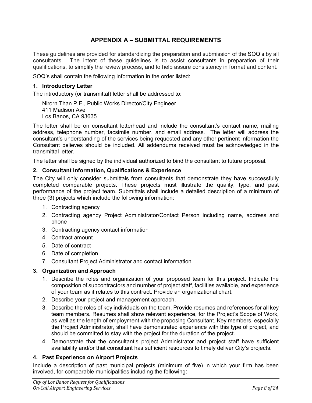# **APPENDIX A – SUBMITTAL REQUIREMENTS**

These guidelines are provided for standardizing the preparation and submission of the SOQ's by all consultants. The intent of these guidelines is to assist consultants in preparation of their qualifications, to simplify the review process, and to help assure consistency in format and content.

SOQ's shall contain the following information in the order listed:

#### **1. Introductory Letter**

The introductory (or transmittal) letter shall be addressed to:

Nirorn Than P.E., Public Works Director/City Engineer 411 Madison Ave Los Banos, CA 93635

The letter shall be on consultant letterhead and include the consultant's contact name, mailing address, telephone number, facsimile number, and email address. The letter will address the consultant's understanding of the services being requested and any other pertinent information the Consultant believes should be included. All addendums received must be acknowledged in the transmittal letter.

The letter shall be signed by the individual authorized to bind the consultant to future proposal.

#### **2. Consultant Information, Qualifications & Experience**

The City will only consider submittals from consultants that demonstrate they have successfully completed comparable projects. These projects must illustrate the quality, type, and past performance of the project team. Submittals shall include a detailed description of a minimum of three (3) projects which include the following information:

- 1. Contracting agency
- 2. Contracting agency Project Administrator/Contact Person including name, address and phone
- 3. Contracting agency contact information
- 4. Contract amount
- 5. Date of contract
- 6. Date of completion
- 7. Consultant Project Administrator and contact information

## **3. Organization and Approach**

- 1. Describe the roles and organization of your proposed team for this project. Indicate the composition of subcontractors and number of project staff, facilities available, and experience of your team as it relates to this contract. Provide an organizational chart.
- 2. Describe your project and management approach.
- 3. Describe the roles of key individuals on the team. Provide resumes and references for all key team members. Resumes shall show relevant experience, for the Project's Scope of Work, as well as the length of employment with the proposing Consultant. Key members, especially the Project Administrator, shall have demonstrated experience with this type of project, and should be committed to stay with the project for the duration of the project.
- 4. Demonstrate that the consultant's project Administrator and project staff have sufficient availability and/or that consultant has sufficient resources to timely deliver City's projects.

## **4. Past Experience on Airport Projects**

Include a description of past municipal projects (minimum of five) in which your firm has been involved, for comparable municipalities including the following: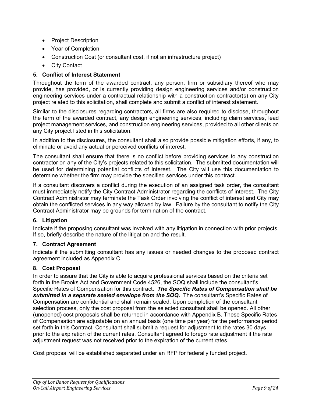- Project Description
- Year of Completion
- Construction Cost (or consultant cost, if not an infrastructure project)
- City Contact

## **5. Conflict of Interest Statement**

Throughout the term of the awarded contract, any person, firm or subsidiary thereof who may provide, has provided, or is currently providing design engineering services and/or construction engineering services under a contractual relationship with a construction contractor(s) on any City project related to this solicitation, shall complete and submit a conflict of interest statement.

Similar to the disclosures regarding contractors, all firms are also required to disclose, throughout the term of the awarded contract, any design engineering services, including claim services, lead project management services, and construction engineering services, provided to all other clients on any City project listed in this solicitation.

In addition to the disclosures, the consultant shall also provide possible mitigation efforts, if any, to eliminate or avoid any actual or perceived conflicts of interest.

The consultant shall ensure that there is no conflict before providing services to any construction contractor on any of the City's projects related to this solicitation. The submitted documentation will be used for determining potential conflicts of interest. The City will use this documentation to determine whether the firm may provide the specified services under this contract.

If a consultant discovers a conflict during the execution of an assigned task order, the consultant must immediately notify the City Contract Administrator regarding the conflicts of interest. The City Contract Administrator may terminate the Task Order involving the conflict of interest and City may obtain the conflicted services in any way allowed by law. Failure by the consultant to notify the City Contract Administrator may be grounds for termination of the contract.

## **6. Litigation**

Indicate if the proposing consultant was involved with any litigation in connection with prior projects. If so, briefly describe the nature of the litigation and the result.

## **7. Contract Agreement**

Indicate if the submitting consultant has any issues or needed changes to the proposed contract agreement included as Appendix C.

## **8. Cost Proposal**

In order to assure that the City is able to acquire professional services based on the criteria set forth in the Brooks Act and Government Code 4526, the SOQ shall include the consultant's Specific Rates of Compensation for this contract. *The Specific Rates of Compensation shall be submitted in a separate sealed envelope from the SOQ.* The consultant's Specific Rates of Compensation are confidential and shall remain sealed. Upon completion of the consultant selection process, only the cost proposal from the selected consultant shall be opened. All other (unopened) cost proposals shall be returned in accordance with Appendix B. These Specific Rates of Compensation are adjustable on an annual basis (one time per year) for the performance period set forth in this Contract. Consultant shall submit a request for adjustment to the rates 30 days prior to the expiration of the current rates. Consultant agreed to forego rate adjustment if the rate adjustment request was not received prior to the expiration of the current rates.

Cost proposal will be established separated under an RFP for federally funded project.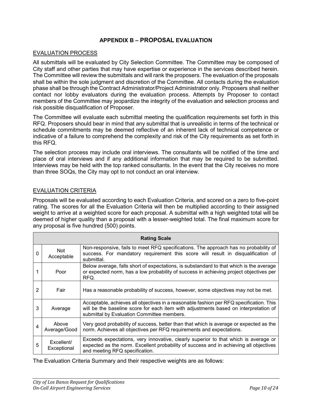## **APPENDIX B – PROPOSAL EVALUATION**

#### EVALUATION PROCESS

All submittals will be evaluated by City Selection Committee. The Committee may be composed of City staff and other parties that may have expertise or experience in the services described herein. The Committee will review the submittals and will rank the proposers. The evaluation of the proposals shall be within the sole judgment and discretion of the Committee. All contacts during the evaluation phase shall be through the Contract Administrator/Project Administrator only. Proposers shall neither contact nor lobby evaluators during the evaluation process. Attempts by Proposer to contact members of the Committee may jeopardize the integrity of the evaluation and selection process and risk possible disqualification of Proposer.

The Committee will evaluate each submittal meeting the qualification requirements set forth in this RFQ. Proposers should bear in mind that any submittal that is unrealistic in terms of the technical or schedule commitments may be deemed reflective of an inherent lack of technical competence or indicative of a failure to comprehend the complexity and risk of the City requirements as set forth in this RFQ.

The selection process may include oral interviews. The consultants will be notified of the time and place of oral interviews and if any additional information that may be required to be submitted. Interviews may be held with the top ranked consultants. In the event that the City receives no more than three SOQs, the City may opt to not conduct an oral interview.

## EVALUATION CRITERIA

Proposals will be evaluated according to each Evaluation Criteria, and scored on a zero to five-point rating. The scores for all the Evaluation Criteria will then be multiplied according to their assigned weight to arrive at a weighted score for each proposal. A submittal with a high weighted total will be deemed of higher quality than a proposal with a lesser-weighted total. The final maximum score for any proposal is five hundred (500) points.

| <b>Rating Scale</b> |                           |                                                                                                                                                                                                                               |  |  |  |
|---------------------|---------------------------|-------------------------------------------------------------------------------------------------------------------------------------------------------------------------------------------------------------------------------|--|--|--|
| $\Omega$            | <b>Not</b><br>Acceptable  | Non-responsive, fails to meet RFQ specifications. The approach has no probability of<br>success. For mandatory requirement this score will result in disqualification of<br>submittal.                                        |  |  |  |
|                     | Poor                      | Below average, falls short of expectations, is substandard to that which is the average<br>or expected norm, has a low probability of success in achieving project objectives per<br>RFQ.                                     |  |  |  |
| 2                   | Fair                      | Has a reasonable probability of success, however, some objectives may not be met.                                                                                                                                             |  |  |  |
| 3                   | Average                   | Acceptable, achieves all objectives in a reasonable fashion per RFQ specification. This<br>will be the baseline score for each item with adjustments based on interpretation of<br>submittal by Evaluation Committee members. |  |  |  |
| 4                   | Above<br>Average/Good     | Very good probability of success, better than that which is average or expected as the<br>norm. Achieves all objectives per RFQ requirements and expectations.                                                                |  |  |  |
| 5                   | Excellent/<br>Exceptional | Exceeds expectations, very innovative, clearly superior to that which is average or<br>expected as the norm. Excellent probability of success and in achieving all objectives<br>and meeting RFQ specification.               |  |  |  |

The Evaluation Criteria Summary and their respective weights are as follows: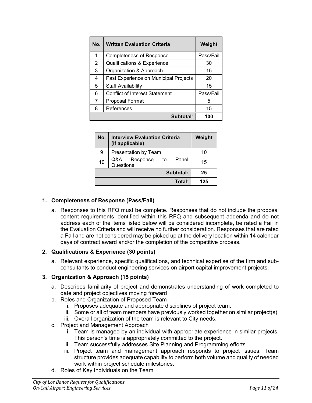| No. | <b>Written Evaluation Criteria</b>     | Weight    |  |
|-----|----------------------------------------|-----------|--|
| 1   | <b>Completeness of Response</b>        | Pass/Fail |  |
| 2   | <b>Qualifications &amp; Experience</b> | 30        |  |
| 3   | Organization & Approach                | 15        |  |
| 4   | Past Experience on Municipal Projects  | 20        |  |
| 5   | <b>Staff Availability</b>              | 15        |  |
| 6   | <b>Conflict of Interest Statement</b>  | Pass/Fail |  |
| 7   | Proposal Format                        | 5         |  |
| 8   | References                             | 15        |  |
|     | Subtotal:                              | 100       |  |

| No.       | Weight                                   |     |
|-----------|------------------------------------------|-----|
| 9         | Presentation by Team                     | 10  |
| 10        | Q&A Response<br>Panel<br>to<br>Questions | 15  |
| Subtotal: |                                          | 25  |
|           | Total:                                   | 125 |

## **1. Completeness of Response (Pass/Fail)**

a. Responses to this RFQ must be complete. Responses that do not include the proposal content requirements identified within this RFQ and subsequent addenda and do not address each of the items listed below will be considered incomplete, be rated a Fail in the Evaluation Criteria and will receive no further consideration. Responses that are rated a Fail and are not considered may be picked up at the delivery location within 14 calendar days of contract award and/or the completion of the competitive process.

#### **2. Qualifications & Experience (30 points)**

a. Relevant experience, specific qualifications, and technical expertise of the firm and subconsultants to conduct engineering services on airport capital improvement projects.

## **3. Organization & Approach (15 points)**

- a. Describes familiarity of project and demonstrates understanding of work completed to date and project objectives moving forward
- b. Roles and Organization of Proposed Team
	- i. Proposes adequate and appropriate disciplines of project team.
	- ii. Some or all of team members have previously worked together on similar project(s).
	- iii. Overall organization of the team is relevant to City needs.
- c. Project and Management Approach
	- i. Team is managed by an individual with appropriate experience in similar projects. This person's time is appropriately committed to the project.
	- ii. Team successfully addresses Site Planning and Programming efforts.
	- iii. Project team and management approach responds to project issues. Team structure provides adequate capability to perform both volume and quality of needed work within project schedule milestones.
- d. Roles of Key Individuals on the Team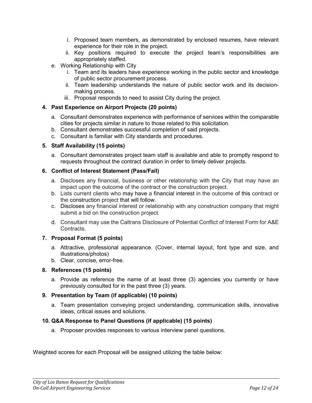- i. Proposed team members, as demonstrated by enclosed resumes, have relevant experience for their role in the project.
- ii. Key positions required to execute the project team's responsibilities are appropriately staffed.
- e. Working Relationship with City
	- i. Team and its leaders have experience working in the public sector and knowledge of public sector procurement process.
	- ii. Team leadership understands the nature of public sector work and its decisionmaking process.
	- iii. Proposal responds to need to assist City during the project.

#### **4. Past Experience on Airport Projects (20 points)**

- a. Consultant demonstrates experience with performance of services within the comparable cities for projects similar in nature to those related to this solicitation.
- b. Consultant demonstrates successful completion of said projects.
- c. Consultant is familiar with City standards and procedures.

## **5. Staff Availability (15 points)**

a. Consultant demonstrates project team staff is available and able to promptly respond to requests throughout the contract duration in order to timely deliver projects.

#### **6. Conflict of Interest Statement (Pass/Fail)**

- a. Discloses any financial, business or other relationship with the City that may have an impact upon the outcome of the contract or the construction project.
- b. Lists current clients who may have a financial interest in the outcome of this contract or the construction project that will follow.
- c. Discloses any financial interest or relationship with any construction company that might submit a bid on the construction project.
- d. Consultant may use the Caltrans Disclosure of Potential Conflict of Interest Form for A&E **Contracts**

## **7. Proposal Format (5 points)**

- a. Attractive, professional appearance. (Cover, internal layout, font type and size, and illustrations/photos)
- b. Clear, concise, error-free.

## **8. References (15 points)**

a. Provide as reference the name of at least three (3) agencies you currently or have previously consulted for in the past three (3) years.

## **9. Presentation by Team (if applicable) (10 points)**

a. Team presentation conveying project understanding, communication skills, innovative ideas, critical issues and solutions.

#### **10. Q&A Response to Panel Questions (if applicable) (15 points)**

a. Proposer provides responses to various interview panel questions.

Weighted scores for each Proposal will be assigned utilizing the table below: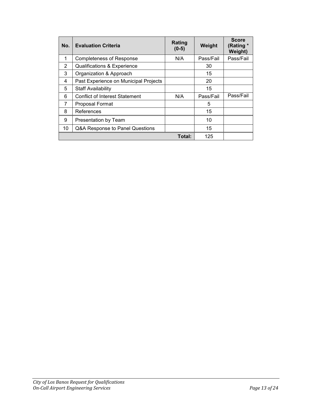| No.    | <b>Evaluation Criteria</b>            | Rating<br>$(0-5)$ | Weight    | <b>Score</b><br>(Rating *<br>Weight) |
|--------|---------------------------------------|-------------------|-----------|--------------------------------------|
| 1      | <b>Completeness of Response</b>       | N/A               | Pass/Fail | Pass/Fail                            |
| 2      | Qualifications & Experience           |                   | 30        |                                      |
| 3      | Organization & Approach               |                   | 15        |                                      |
| 4      | Past Experience on Municipal Projects |                   | 20        |                                      |
| 5      | <b>Staff Availability</b>             |                   | 15        |                                      |
| 6      | <b>Conflict of Interest Statement</b> | N/A               | Pass/Fail | Pass/Fail                            |
| 7      | Proposal Format                       |                   | 5         |                                      |
| 8      | References                            |                   | 15        |                                      |
| 9      | Presentation by Team                  |                   | 10        |                                      |
| 10     | Q&A Response to Panel Questions       |                   | 15        |                                      |
| Total: |                                       |                   | 125       |                                      |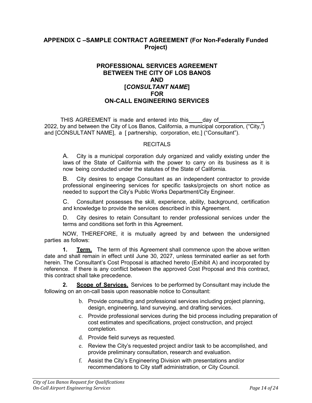## **APPENDIX C –SAMPLE CONTRACT AGREEMENT (For Non-Federally Funded Project)**

## **PROFESSIONAL SERVICES AGREEMENT BETWEEN THE CITY OF LOS BANOS AND [***CONSULTANT NAME***] FOR ON-CALL ENGINEERING SERVICES**

THIS AGREEMENT is made and entered into this easy of 2022, by and between the City of Los Banos, California, a municipal corporation, ("City,") and [CONSULTANT NAME], a [ partnership, corporation, etc.] ("Consultant").

#### RECITALS

A. City is a municipal corporation duly organized and validly existing under the laws of the State of California with the power to carry on its business as it is now being conducted under the statutes of the State of California.

B. City desires to engage Consultant as an independent contractor to provide professional engineering services for specific tasks/projects on short notice as needed to support the City's Public Works Department/City Engineer.

C. Consultant possesses the skill, experience, ability, background, certification and knowledge to provide the services described in this Agreement.

D. City desires to retain Consultant to render professional services under the terms and conditions set forth in this Agreement.

NOW, THEREFORE, it is mutually agreed by and between the undersigned parties as follows:

**1. Term.** The term of this Agreement shall commence upon the above written date and shall remain in effect until June 30, 2027, unless terminated earlier as set forth herein. The Consultant's Cost Proposal is attached hereto (Exhibit A) and incorporated by reference. If there is any conflict between the approved Cost Proposal and this contract, this contract shall take precedence.

**2. Scope of Services.** Services to be performed by Consultant may include the following on an on-call basis upon reasonable notice to Consultant:

- b. Provide consulting and professional services including project planning, design, engineering, land surveying, and drafting services.
- c. Provide professional services during the bid process including preparation of cost estimates and specifications, project construction, and project completion.
- d. Provide field surveys as requested.
- e. Review the City's requested project and/or task to be accomplished, and provide preliminary consultation, research and evaluation.
- f. Assist the City's Engineering Division with presentations and/or recommendations to City staff administration, or City Council.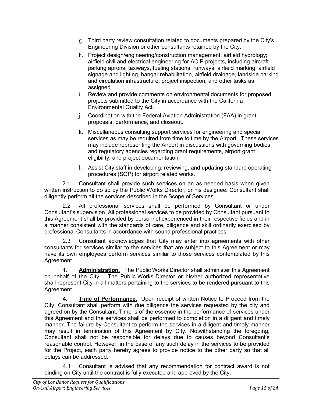- g. Third party review consultation related to documents prepared by the City's Engineering Division or other consultants retained by the City.
- h. Project design/engineering/construction management; airfield hydrology; airfield civil and electrical engineering for ACIP projects, including aircraft parking aprons, taxiways, fueling stations, runways, airfield marking, airfield signage and lighting, hangar rehabilitation, airfield drainage, landside parking and circulation infrastructure; project inspection; and other tasks as assigned.
- i. Review and provide comments on environmental documents for proposed projects submitted to the City in accordance with the California Environmental Quality Act.
- j. Coordination with the Federal Aviation Administration (FAA) in grant proposals, performance, and closeout.
- k. Miscellaneous consulting support services for engineering and special services as may be required from time to time by the Airport. These services may include representing the Airport in discussions with governing bodies and regulatory agencies regarding grant requirements, airport grant eligibility, and project documentation.
- l. Assist City staff in developing, reviewing, and updating standard operating procedures (SOP) for airport related works.

2.1 Consultant shall provide such services on an as needed basis when given written instruction to do so by the Public Works Director, or his designee. Consultant shall diligently perform all the services described in the Scope of Services.

2.2 All professional services shall be performed by Consultant or under Consultant's supervision. All professional services to be provided by Consultant pursuant to this Agreement shall be provided by personnel experienced in their respective fields and in a manner consistent with the standards of care, diligence and skill ordinarily exercised by professional Consultants in accordance with sound professional practices.

2.3 Consultant acknowledges that City may enter into agreements with other consultants for services similar to the services that are subject to this Agreement or may have its own employees perform services similar to those services contemplated by this Agreement.

**1. Administration.** The Public Works Director shall administer this Agreement on behalf of the City. The Public Works Director or his/her authorized representative shall represent City in all matters pertaining to the services to be rendered pursuant to this Agreement.

**4. Time of Performance.** Upon receipt of written Notice to Proceed from the City, Consultant shall perform with due diligence the services requested by the city and agreed on by the Consultant. Time is of the essence in the performance of services under this Agreement and the services shall be performed to completion in a diligent and timely manner. The failure by Consultant to perform the services in a diligent and timely manner may result in termination of this Agreement by City. Notwithstanding the foregoing, Consultant shall not be responsible for delays due to causes beyond Consultant's reasonable control. However, in the case of any such delay in the services to be provided for the Project, each party hereby agrees to provide notice to the other party so that all delays can be addressed.

4.1 Consultant is advised that any recommendation for contract award is not binding on City until the contract is fully executed and approved by the City.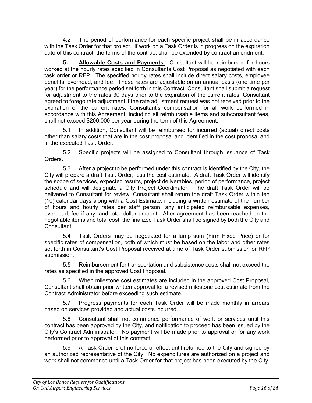4.2 The period of performance for each specific project shall be in accordance with the Task Order for that project. If work on a Task Order is in progress on the expiration date of this contract, the terms of the contract shall be extended by contract amendment.

**5. Allowable Costs and Payments.** Consultant will be reimbursed for hours worked at the hourly rates specified in Consultants Cost Proposal as negotiated with each task order or RFP. The specified hourly rates shall include direct salary costs, employee benefits, overhead, and fee. These rates are adjustable on an annual basis (one time per year) for the performance period set forth in this Contract. Consultant shall submit a request for adjustment to the rates 30 days prior to the expiration of the current rates. Consultant agreed to forego rate adjustment if the rate adjustment request was not received prior to the expiration of the current rates. Consultant's compensation for all work performed in accordance with this Agreement, including all reimbursable items and subconsultant fees, shall not exceed \$200,000 per year during the term of this Agreement.

5.1 In addition, Consultant will be reimbursed for incurred (actual) direct costs other than salary costs that are in the cost proposal and identified in the cost proposal and in the executed Task Order.

5.2 Specific projects will be assigned to Consultant through issuance of Task Orders.

5.3 After a project to be performed under this contract is identified by the City, the City will prepare a draft Task Order; less the cost estimate. A draft Task Order will identify the scope of services, expected results, project deliverables, period of performance, project schedule and will designate a City Project Coordinator. The draft Task Order will be delivered to Consultant for review. Consultant shall return the draft Task Order within ten (10) calendar days along with a Cost Estimate, including a written estimate of the number of hours and hourly rates per staff person, any anticipated reimbursable expenses, overhead, fee if any, and total dollar amount. After agreement has been reached on the negotiable items and total cost; the finalized Task Order shall be signed by both the City and **Consultant** 

5.4 Task Orders may be negotiated for a lump sum (Firm Fixed Price) or for specific rates of compensation, both of which must be based on the labor and other rates set forth in Consultant's Cost Proposal received at time of Task Order submission or RFP submission.

5.5 Reimbursement for transportation and subsistence costs shall not exceed the rates as specified in the approved Cost Proposal.

5.6 When milestone cost estimates are included in the approved Cost Proposal, Consultant shall obtain prior written approval for a revised milestone cost estimate from the Contract Administrator before exceeding such estimate.

5.7 Progress payments for each Task Order will be made monthly in arrears based on services provided and actual costs incurred.

5.8 Consultant shall not commence performance of work or services until this contract has been approved by the City, and notification to proceed has been issued by the City's Contract Administrator. No payment will be made prior to approval or for any work performed prior to approval of this contract.

5.9 A Task Order is of no force or effect until returned to the City and signed by an authorized representative of the City. No expenditures are authorized on a project and work shall not commence until a Task Order for that project has been executed by the City.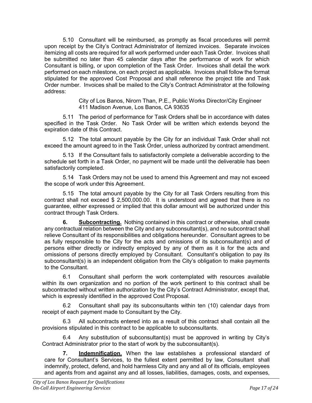5.10 Consultant will be reimbursed, as promptly as fiscal procedures will permit upon receipt by the City's Contract Administrator of itemized invoices. Separate invoices itemizing all costs are required for all work performed under each Task Order. Invoices shall be submitted no later than 45 calendar days after the performance of work for which Consultant is billing, or upon completion of the Task Order. Invoices shall detail the work performed on each milestone, on each project as applicable. Invoices shall follow the format stipulated for the approved Cost Proposal and shall reference the project title and Task Order number. Invoices shall be mailed to the City's Contract Administrator at the following address:

> City of Los Banos, Nirorn Than, P.E., Public Works Director/City Engineer 411 Madison Avenue, Los Banos, CA 93635

5.11 The period of performance for Task Orders shall be in accordance with dates specified in the Task Order. No Task Order will be written which extends beyond the expiration date of this Contract.

5.12 The total amount payable by the City for an individual Task Order shall not exceed the amount agreed to in the Task Order, unless authorized by contract amendment.

5.13 If the Consultant fails to satisfactorily complete a deliverable according to the schedule set forth in a Task Order, no payment will be made until the deliverable has been satisfactorily completed.

5.14 Task Orders may not be used to amend this Agreement and may not exceed the scope of work under this Agreement.

5.15 The total amount payable by the City for all Task Orders resulting from this contract shall not exceed \$ 2,500,000.00. It is understood and agreed that there is no guarantee, either expressed or implied that this dollar amount will be authorized under this contract through Task Orders.

**6. Subcontracting.** Nothing contained in this contract or otherwise, shall create any contractual relation between the City and any subconsultant(s), and no subcontract shall relieve Consultant of its responsibilities and obligations hereunder. Consultant agrees to be as fully responsible to the City for the acts and omissions of its subconsultant(s) and of persons either directly or indirectly employed by any of them as it is for the acts and omissions of persons directly employed by Consultant. Consultant's obligation to pay its subconsultant(s) is an independent obligation from the City's obligation to make payments to the Consultant.

6.1 Consultant shall perform the work contemplated with resources available within its own organization and no portion of the work pertinent to this contract shall be subcontracted without written authorization by the City's Contract Administrator, except that, which is expressly identified in the approved Cost Proposal.

6.2 Consultant shall pay its subconsultants within ten (10) calendar days from receipt of each payment made to Consultant by the City.

6.3 All subcontracts entered into as a result of this contract shall contain all the provisions stipulated in this contract to be applicable to subconsultants.

6.4 Any substitution of subconsultant(s) must be approved in writing by City's Contract Administrator prior to the start of work by the subconsultant(s).

**7. Indemnification.** When the law establishes a professional standard of care for Consultant's Services, to the fullest extent permitted by law, Consultant shall indemnify, protect, defend, and hold harmless City and any and all of its officials, employees and agents from and against any and all losses, liabilities, damages, costs, and expenses,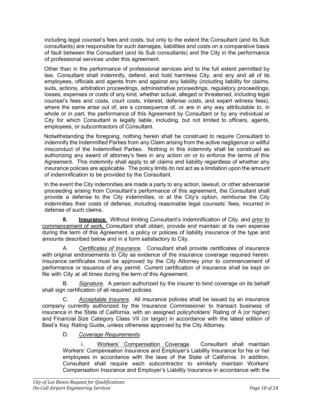including legal counsel's fees and costs, but only to the extent the Consultant (and its Sub consultants) are responsible for such damages, liabilities and costs on a comparative basis of fault between the Consultant (and its Sub consultants) and the City in the performance of professional services under this agreement.

Other than in the performance of professional services and to the full extent permitted by law, Consultant shall indemnify, defend, and hold harmless City, and any and all of its employees, officials and agents from and against any liability (including liability for claims, suits, actions, arbitration proceedings, administrative proceedings, regulatory proceedings, losses, expenses or costs of any kind, whether actual, alleged or threatened, including legal counsel's fees and costs, court costs, interest, defense costs, and expert witness fees), where the same arise out of, are a consequence of, or are in any way attributable to, in whole or in part, the performance of this Agreement by Consultant or by any individual or City for which Consultant is legally liable, including, but not limited to officers, agents, employees, or subcontractors of Consultant.

Notwithstanding the foregoing, nothing herein shall be construed to require Consultant to indemnify the Indemnified Parties from any Claim arising from the active negligence or willful misconduct of the Indemnified Parties. Nothing in this indemnity shall be construed as authorizing any award of attorney's fees in any action on or to enforce the terms of this Agreement. This indemnity shall apply to all claims and liability regardless of whether any insurance policies are applicable. The policy limits do not act as a limitation upon the amount of indemnification to be provided by the Consultant.

In the event the City indemnities are made a party to any action, lawsuit, or other adversarial proceeding arising from Consultant's performance of this agreement, the Consultant shall provide a defense to the City indemnities, or at the City's option, reimburse the City indemnities their costs of defense, including reasonable legal counsels' fees, incurred in defense of such claims.

**8. Insurance.** Without limiting Consultant's indemnification of City, and prior to commencement of work, Consultant shall obtain, provide and maintain at its own expense during the term of this Agreement, a policy or policies of liability insurance of the type and amounts described below and in a form satisfactory to City.

A. *Certificates of Insurance.* Consultant shall provide certificates of insurance with original endorsements to City as evidence of the insurance coverage required herein. Insurance certificates must be approved by the City Attorney prior to commencement of performance or issuance of any permit. Current certification of insurance shall be kept on file with City at all times during the term of this Agreement.

B. *Signature.* A person authorized by the insurer to bind coverage on its behalf shall sign certification of all required policies.

Acceptable Insurers. All insurance policies shall be issued by an insurance company currently authorized by the Insurance Commissioner to transact business of insurance in the State of California, with an assigned policyholders' Rating of A (or higher) and Financial Size Category Class VII (or larger) in accordance with the latest edition of Best's Key Rating Guide, unless otherwise approved by the City Attorney.

# D. *Coverage Requirements*.

i. Workers' Compensation Coverage. Consultant shall maintain Workers' Compensation Insurance and Employer's Liability Insurance for his or her employees in accordance with the laws of the State of California. In addition, Consultant shall require each subcontractor to similarly maintain Workers' Compensation Insurance and Employer's Liability Insurance in accordance with the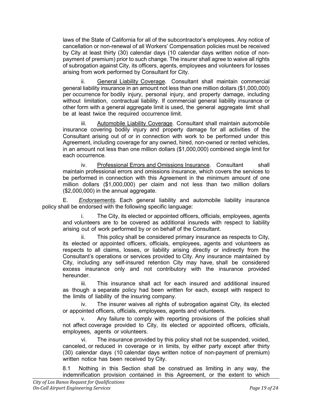laws of the State of California for all of the subcontractor's employees. Any notice of cancellation or non-renewal of all Workers' Compensation policies must be received by City at least thirty (30) calendar days (10 calendar days written notice of nonpayment of premium) prior to such change. The insurer shall agree to waive all rights of subrogation against City, its officers, agents, employees and volunteers for losses arising from work performed by Consultant for City.

ii. General Liability Coverage. Consultant shall maintain commercial general liability insurance in an amount not less than one million dollars (\$1,000,000) per occurrence for bodily injury, personal injury, and property damage, including without limitation, contractual liability. If commercial general liability insurance or other form with a general aggregate limit is used, the general aggregate limit shall be at least twice the required occurrence limit.

iii. Automobile Liability Coverage. Consultant shall maintain automobile insurance covering bodily injury and property damage for all activities of the Consultant arising out of or in connection with work to be performed under this Agreement, including coverage for any owned, hired, non-owned or rented vehicles, in an amount not less than one million dollars (\$1,000,000) combined single limit for each occurrence.

iv. Professional Errors and Omissions Insurance. Consultant shall maintain professional errors and omissions insurance, which covers the services to be performed in connection with this Agreement in the minimum amount of one million dollars (\$1,000,000) per claim and not less than two million dollars (\$2,000,000) in the annual aggregate.

E. *Endorsements.* Each general liability and automobile liability insurance policy shall be endorsed with the following specific language:

i. The City, its elected or appointed officers, officials, employees, agents and volunteers are to be covered as additional insureds with respect to liability arising out of work performed by or on behalf of the Consultant.

ii. This policy shall be considered primary insurance as respects to City, its elected or appointed officers, officials, employees, agents and volunteers as respects to all claims, losses, or liability arising directly or indirectly from the Consultant's operations or services provided to City. Any insurance maintained by City, including any self-insured retention City may have, shall be considered excess insurance only and not contributory with the insurance provided hereunder.

iii. This insurance shall act for each insured and additional insured as though a separate policy had been written for each, except with respect to the limits of liability of the insuring company.

iv. The insurer waives all rights of subrogation against City, its elected or appointed officers, officials, employees, agents and volunteers.

Any failure to comply with reporting provisions of the policies shall not affect coverage provided to City, its elected or appointed officers, officials, employees, agents or volunteers.

vi. The insurance provided by this policy shall not be suspended, voided, canceled, or reduced in coverage or in limits, by either party except after thirty (30) calendar days (10 calendar days written notice of non-payment of premium) written notice has been received by City.

8.1 Nothing in this Section shall be construed as limiting in any way, the indemnification provision contained in this Agreement, or the extent to which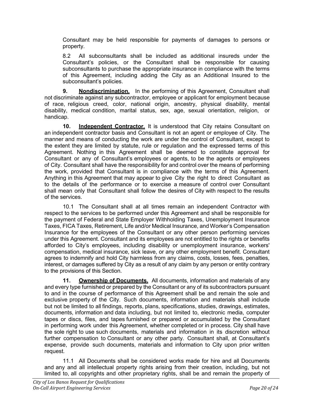Consultant may be held responsible for payments of damages to persons or property.

8.2 All subconsultants shall be included as additional insureds under the Consultant's policies, or the Consultant shall be responsible for causing subconsultants to purchase the appropriate insurance in compliance with the terms of this Agreement, including adding the City as an Additional Insured to the subconsultant's policies.

**9. Nondiscrimination.** In the performing of this Agreement, Consultant shall not discriminate against any subcontractor, employee or applicant for employment because of race, religious creed, color, national origin, ancestry, physical disability, mental disability, medical condition, marital status, sex, age, sexual orientation, religion, or handicap.

**10. Independent Contractor.** It is understood that City retains Consultant on an independent contractor basis and Consultant is not an agent or employee of City. The manner and means of conducting the work are under the control of Consultant, except to the extent they are limited by statute, rule or regulation and the expressed terms of this Agreement. Nothing in this Agreement shall be deemed to constitute approval for Consultant or any of Consultant's employees or agents, to be the agents or employees of City. Consultant shall have the responsibility for and control over the means of performing the work, provided that Consultant is in compliance with the terms of this Agreement. Anything in this Agreement that may appear to give City the right to direct Consultant as to the details of the performance or to exercise a measure of control over Consultant shall mean only that Consultant shall follow the desires of City with respect to the results of the services.

10.1 The Consultant shall at all times remain an independent Contractor with respect to the services to be performed under this Agreement and shall be responsible for the payment of Federal and State Employer Withholding Taxes, Unemployment Insurance Taxes, FICA Taxes, Retirement, Life and/or Medical Insurance, and Worker's Compensation Insurance for the employees of the Consultant or any other person performing services under this Agreement. Consultant and its employees are not entitled to the rights or benefits afforded to City's employees, including disability or unemployment insurance, workers' compensation, medical insurance, sick leave, or any other employment benefit. Consultant agrees to indemnify and hold City harmless from any claims, costs, losses, fees, penalties, interest, or damages suffered by City as a result of any claim by any person or entity contrary to the provisions of this Section.

**11. Ownership of Documents.** All documents, information and materials of any and every type furnished or prepared by the Consultant or any of its subcontractors pursuant to and in the course of performance of this Agreement shall be and remain the sole and exclusive property of the City. Such documents, information and materials shall include but not be limited to all findings, reports, plans, specifications, studies, drawings, estimates, documents, information and data including, but not limited to, electronic media, computer tapes or discs, files, and tapes furnished or prepared or accumulated by the Consultant in performing work under this Agreement, whether completed or in process. City shall have the sole right to use such documents, materials and information in its discretion without further compensation to Consultant or any other party. Consultant shall, at Consultant's expense, provide such documents, materials and information to City upon prior written request.

11.1 All Documents shall be considered works made for hire and all Documents and any and all intellectual property rights arising from their creation, including, but not limited to, all copyrights and other proprietary rights, shall be and remain the property of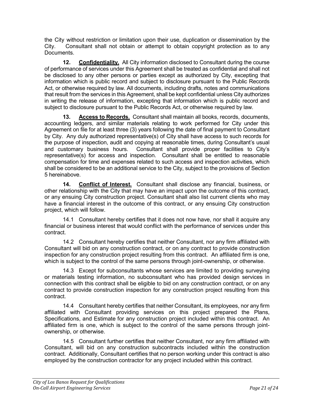the City without restriction or limitation upon their use, duplication or dissemination by the City. Consultant shall not obtain or attempt to obtain copyright protection as to any Documents.

**12. Confidentiality.** All City information disclosed to Consultant during the course of performance of services under this Agreement shall be treated as confidential and shall not be disclosed to any other persons or parties except as authorized by City, excepting that information which is public record and subject to disclosure pursuant to the Public Records Act, or otherwise required by law. All documents, including drafts, notes and communications that result from the services in this Agreement, shall be kept confidential unless City authorizes in writing the release of information, excepting that information which is public record and subject to disclosure pursuant to the Public Records Act, or otherwise required by law.

**13. Access to Records.** Consultant shall maintain all books, records, documents, accounting ledgers, and similar materials relating to work performed for City under this Agreement on file for at least three (3) years following the date of final payment to Consultant by City. Any duly authorized representative(s) of City shall have access to such records for the purpose of inspection, audit and copying at reasonable times, during Consultant's usual and customary business hours. Consultant shall provide proper facilities to City's representative(s) for access and inspection. Consultant shall be entitled to reasonable compensation for time and expenses related to such access and inspection activities, which shall be considered to be an additional service to the City, subject to the provisions of Section 5 hereinabove.

**14. Conflict of Interest.** Consultant shall disclose any financial, business, or other relationship with the City that may have an impact upon the outcome of this contract, or any ensuing City construction project. Consultant shall also list current clients who may have a financial interest in the outcome of this contract, or any ensuing City construction project, which will follow.

14.1 Consultant hereby certifies that it does not now have, nor shall it acquire any financial or business interest that would conflict with the performance of services under this contract.

14.2 Consultant hereby certifies that neither Consultant, nor any firm affiliated with Consultant will bid on any construction contract, or on any contract to provide construction inspection for any construction project resulting from this contract. An affiliated firm is one, which is subject to the control of the same persons through joint-ownership, or otherwise.

14.3 Except for subconsultants whose services are limited to providing surveying or materials testing information, no subconsultant who has provided design services in connection with this contract shall be eligible to bid on any construction contract, or on any contract to provide construction inspection for any construction project resulting from this contract.

14.4 Consultant hereby certifies that neither Consultant, its employees, nor any firm affiliated with Consultant providing services on this project prepared the Plans, Specifications, and Estimate for any construction project included within this contract. An affiliated firm is one, which is subject to the control of the same persons through jointownership, or otherwise.

14.5 Consultant further certifies that neither Consultant, nor any firm affiliated with Consultant, will bid on any construction subcontracts included within the construction contract. Additionally, Consultant certifies that no person working under this contract is also employed by the construction contractor for any project included within this contract.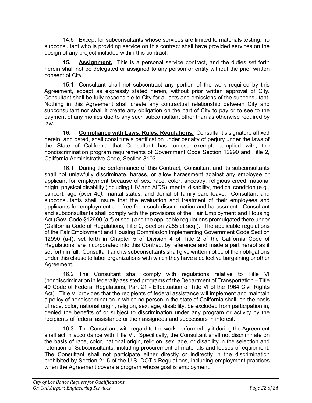14.6 Except for subconsultants whose services are limited to materials testing, no subconsultant who is providing service on this contract shall have provided services on the design of any project included within this contract.

**15. Assignment.** This is a personal service contract, and the duties set forth herein shall not be delegated or assigned to any person or entity without the prior written consent of City.

15.1 Consultant shall not subcontract any portion of the work required by this Agreement, except as expressly stated herein, without prior written approval of City. Consultant shall be fully responsible to City for all acts and omissions of the subconsultant. Nothing in this Agreement shall create any contractual relationship between City and subconsultant nor shall it create any obligation on the part of City to pay or to see to the payment of any monies due to any such subconsultant other than as otherwise required by law.

**16. Compliance with Laws, Rules, Regulations.** Consultant's signature affixed herein, and dated, shall constitute a certification under penalty of perjury under the laws of the State of California that Consultant has, unless exempt, complied with, the nondiscrimination program requirements of Government Code Section 12990 and Title 2, California Administrative Code, Section 8103.

16.1 During the performance of this Contract, Consultant and its subconsultants shall not unlawfully discriminate, harass, or allow harassment against any employee or applicant for employment because of sex, race, color, ancestry, religious creed, national origin, physical disability (including HIV and AIDS), mental disability, medical condition (e.g., cancer), age (over 40*),* marital status, and denial of family care leave. Consultant and subconsultants shall insure that the evaluation and treatment of their employees and applicants for employment are free from such discrimination and harassment. Consultant and subconsultants shall comply with the provisions of the Fair Employment and Housing Act (Gov. Code §12990 (a-f) et seq.) and the applicable regulations promulgated there under (California Code of Regulations, Title 2, Section 7285 et seq.). The applicable regulations of the Fair Employment and Housing Commission implementing Government Code Section 12990 (a-f), set forth in Chapter 5 of Division 4 of Title 2 of the California Code of Regulations, are incorporated into this Contract by reference and made a part hereof as if set forth in full. Consultant and its subconsultant*s* shall give written notice of their obligations under this clause to labor organizations with which they have a collective bargaining or other Agreement.

16.2 The Consultant shall comply with regulations relative to Title VI (nondiscrimination in federally-assisted programs of the Department of Transportation – Title 49 Code of Federal Regulations, Part 21 - Effectuation of Title VI of the 1964 Civil Rights Act). Title VI provides that the recipients of federal assistance will implement and maintain a policy of nondiscrimination in which no person in the state of California shall, on the basis of race, color, national origin, religion, sex, age, disability, be excluded from participation in, denied the benefits of or subject to discrimination under any program or activity by the recipients of federal assistance or their assignees and successors in interest.

16.3 The Consultant, with regard to the work performed by it during the Agreement shall act in accordance with Title VI. Specifically, the Consultant shall not discriminate on the basis of race, color, national origin, religion, sex, age, or disability in the selection and retention of Subconsultants, including procurement of materials and leases of equipment. The Consultant shall not participate either directly or indirectly in the discrimination prohibited by Section 21.5 of the U.S. DOT's Regulations, including employment practices when the Agreement covers a program whose goal is employment.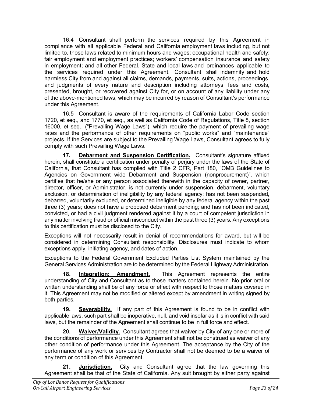16.4 Consultant shall perform the services required by this Agreement in compliance with all applicable Federal and California employment laws including, but not limited to, those laws related to minimum hours and wages; occupational health and safety; fair employment and employment practices; workers' compensation insurance and safety in employment; and all other Federal, State and local laws and ordinances applicable to the services required under this Agreement. Consultant shall indemnify and hold harmless City from and against all claims, demands, payments, suits, actions, proceedings, and judgments of every nature and description including attorneys' fees and costs, presented, brought, or recovered against City for, or on account of any liability under any of the above-mentioned laws, which may be incurred by reason of Consultant's performance under this Agreement.

16.5 Consultant is aware of the requirements of California Labor Code section 1720, et seq., and 1770, et seq., as well as California Code of Regulations, Title 8, section 16000, et seq., ("Prevailing Wage Laws"), which require the payment of prevailing wage rates and the performance of other requirements on "public works" and "maintenance" projects. If the Services are subject to the Prevailing Wage Laws, Consultant agrees to fully comply with such Prevailing Wage Laws.

**17. Debarment and Suspension Certification.** Consultant's signature affixed herein, shall constitute a certification under penalty of perjury under the laws of the State of California, that Consultant has complied with Title 2 CFR, Part 180, "OMB Guidelines to Agencies on Government wide Debarment and Suspension (nonprocurement)", which certifies that he/she or any person associated therewith in the capacity of owner, partner, director, officer, or Administrator, is not currently under suspension, debarment, voluntary exclusion, or determination of ineligibility by any federal agency; has not been suspended, debarred, voluntarily excluded, or determined ineligible by any federal agency within the past three (3) years; does not have a proposed debarment pending; and has not been indicated, convicted, or had a civil judgment rendered against it by a court of competent jurisdiction in any matter involving fraud or official misconduct within the past three (3) years. Any exceptions to this certification must be disclosed to the City.

Exceptions will not necessarily result in denial of recommendations for award, but will be considered in determining Consultant responsibility. Disclosures must indicate to whom exceptions apply, initiating agency, and dates of action.

Exceptions to the Federal Government Excluded Parties List System maintained by the General Services Administration are to be determined by the Federal Highway Administration.

**18. Integration; Amendment.** This Agreement represents the entire understanding of City and Consultant as to those matters contained herein. No prior oral or written understanding shall be of any force or effect with respect to those matters covered in it. This Agreement may not be modified or altered except by amendment in writing signed by both parties.

**19. Severability.** If any part of this Agreement is found to be in conflict with applicable laws, such part shall be inoperative, null, and void insofar as it is in conflict with said laws, but the remainder of the Agreement shall continue to be in full force and effect.

**20. Waiver/Validity.** Consultant agrees that waiver by City of any one or more of the conditions of performance under this Agreement shall not be construed as waiver of any other condition of performance under this Agreement. The acceptance by the City of the performance of any work or services by Contractor shall not be deemed to be a waiver of any term or condition of this Agreement.

**21. Jurisdiction.** City and Consultant agree that the law governing this Agreement shall be that of the State of California. Any suit brought by either party against